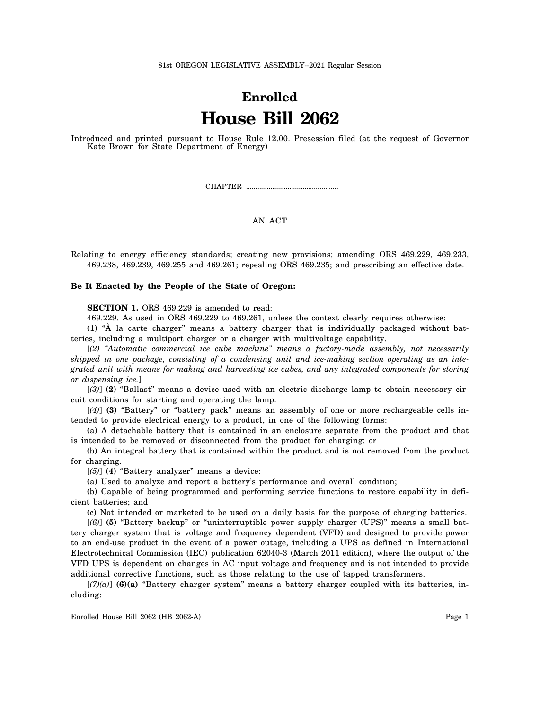81st OREGON LEGISLATIVE ASSEMBLY--2021 Regular Session

# **Enrolled House Bill 2062**

Introduced and printed pursuant to House Rule 12.00. Presession filed (at the request of Governor Kate Brown for State Department of Energy)

CHAPTER .................................................

## AN ACT

Relating to energy efficiency standards; creating new provisions; amending ORS 469.229, 469.233, 469.238, 469.239, 469.255 and 469.261; repealing ORS 469.235; and prescribing an effective date.

#### **Be It Enacted by the People of the State of Oregon:**

**SECTION 1.** ORS 469.229 is amended to read:

469.229. As used in ORS 469.229 to 469.261, unless the context clearly requires otherwise:

(1) "À la carte charger" means a battery charger that is individually packaged without batteries, including a multiport charger or a charger with multivoltage capability.

[*(2) "Automatic commercial ice cube machine" means a factory-made assembly, not necessarily shipped in one package, consisting of a condensing unit and ice-making section operating as an integrated unit with means for making and harvesting ice cubes, and any integrated components for storing or dispensing ice.*]

[*(3)*] **(2)** "Ballast" means a device used with an electric discharge lamp to obtain necessary circuit conditions for starting and operating the lamp.

[*(4)*] **(3)** "Battery" or "battery pack" means an assembly of one or more rechargeable cells intended to provide electrical energy to a product, in one of the following forms:

(a) A detachable battery that is contained in an enclosure separate from the product and that is intended to be removed or disconnected from the product for charging; or

(b) An integral battery that is contained within the product and is not removed from the product for charging.

[*(5)*] **(4)** "Battery analyzer" means a device:

(a) Used to analyze and report a battery's performance and overall condition;

(b) Capable of being programmed and performing service functions to restore capability in deficient batteries; and

(c) Not intended or marketed to be used on a daily basis for the purpose of charging batteries.

[*(6)*] **(5)** "Battery backup" or "uninterruptible power supply charger (UPS)" means a small battery charger system that is voltage and frequency dependent (VFD) and designed to provide power to an end-use product in the event of a power outage, including a UPS as defined in International Electrotechnical Commission (IEC) publication 62040-3 (March 2011 edition), where the output of the VFD UPS is dependent on changes in AC input voltage and frequency and is not intended to provide additional corrective functions, such as those relating to the use of tapped transformers.

 $[(7)(a)]$  (6)(a) "Battery charger system" means a battery charger coupled with its batteries, including: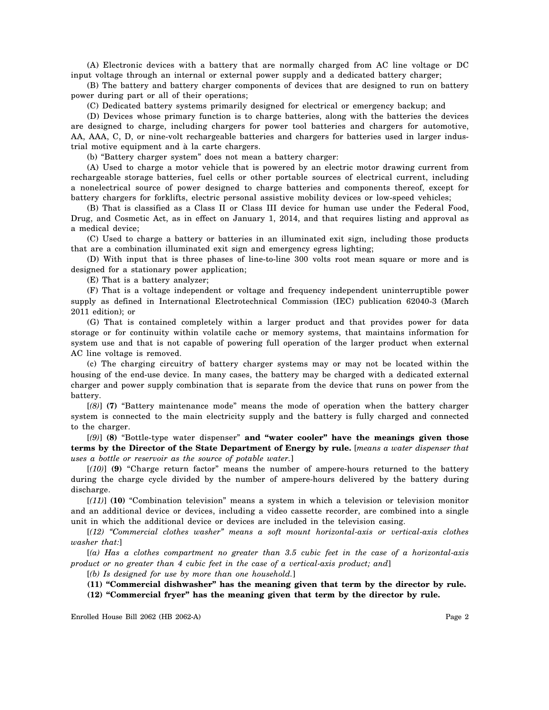(A) Electronic devices with a battery that are normally charged from AC line voltage or DC input voltage through an internal or external power supply and a dedicated battery charger;

(B) The battery and battery charger components of devices that are designed to run on battery power during part or all of their operations;

(C) Dedicated battery systems primarily designed for electrical or emergency backup; and

(D) Devices whose primary function is to charge batteries, along with the batteries the devices are designed to charge, including chargers for power tool batteries and chargers for automotive, AA, AAA, C, D, or nine-volt rechargeable batteries and chargers for batteries used in larger industrial motive equipment and à la carte chargers.

(b) "Battery charger system" does not mean a battery charger:

(A) Used to charge a motor vehicle that is powered by an electric motor drawing current from rechargeable storage batteries, fuel cells or other portable sources of electrical current, including a nonelectrical source of power designed to charge batteries and components thereof, except for battery chargers for forklifts, electric personal assistive mobility devices or low-speed vehicles;

(B) That is classified as a Class II or Class III device for human use under the Federal Food, Drug, and Cosmetic Act, as in effect on January 1, 2014, and that requires listing and approval as a medical device;

(C) Used to charge a battery or batteries in an illuminated exit sign, including those products that are a combination illuminated exit sign and emergency egress lighting;

(D) With input that is three phases of line-to-line 300 volts root mean square or more and is designed for a stationary power application;

(E) That is a battery analyzer;

(F) That is a voltage independent or voltage and frequency independent uninterruptible power supply as defined in International Electrotechnical Commission (IEC) publication 62040-3 (March 2011 edition); or

(G) That is contained completely within a larger product and that provides power for data storage or for continuity within volatile cache or memory systems, that maintains information for system use and that is not capable of powering full operation of the larger product when external AC line voltage is removed.

(c) The charging circuitry of battery charger systems may or may not be located within the housing of the end-use device. In many cases, the battery may be charged with a dedicated external charger and power supply combination that is separate from the device that runs on power from the battery.

[*(8)*] **(7)** "Battery maintenance mode" means the mode of operation when the battery charger system is connected to the main electricity supply and the battery is fully charged and connected to the charger.

[*(9)*] **(8)** "Bottle-type water dispenser" **and "water cooler" have the meanings given those terms by the Director of the State Department of Energy by rule.** [*means a water dispenser that uses a bottle or reservoir as the source of potable water.*]

[*(10)*] **(9)** "Charge return factor" means the number of ampere-hours returned to the battery during the charge cycle divided by the number of ampere-hours delivered by the battery during discharge.

[*(11)*] **(10)** "Combination television" means a system in which a television or television monitor and an additional device or devices, including a video cassette recorder, are combined into a single unit in which the additional device or devices are included in the television casing.

[*(12) "Commercial clothes washer" means a soft mount horizontal-axis or vertical-axis clothes washer that:*]

[*(a) Has a clothes compartment no greater than 3.5 cubic feet in the case of a horizontal-axis product or no greater than 4 cubic feet in the case of a vertical-axis product; and*]

[*(b) Is designed for use by more than one household.*]

**(11) "Commercial dishwasher" has the meaning given that term by the director by rule.**

**(12) "Commercial fryer" has the meaning given that term by the director by rule.**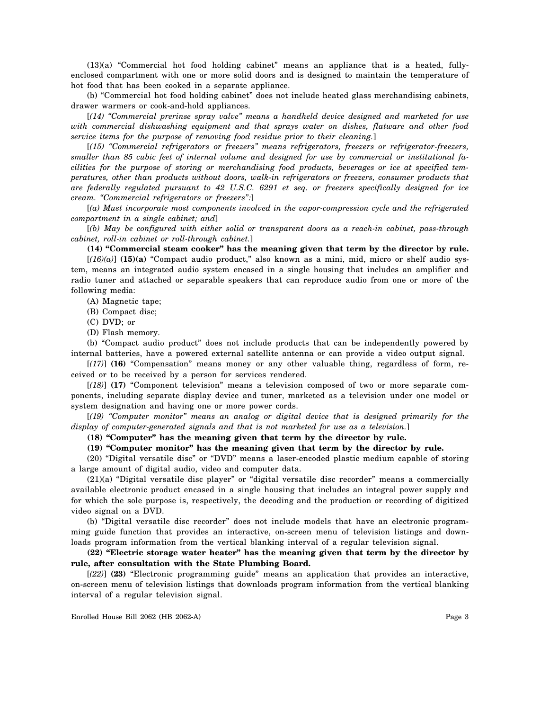(13)(a) "Commercial hot food holding cabinet" means an appliance that is a heated, fullyenclosed compartment with one or more solid doors and is designed to maintain the temperature of hot food that has been cooked in a separate appliance.

(b) "Commercial hot food holding cabinet" does not include heated glass merchandising cabinets, drawer warmers or cook-and-hold appliances.

[*(14) "Commercial prerinse spray valve" means a handheld device designed and marketed for use with commercial dishwashing equipment and that sprays water on dishes, flatware and other food service items for the purpose of removing food residue prior to their cleaning.*]

[*(15) "Commercial refrigerators or freezers" means refrigerators, freezers or refrigerator-freezers, smaller than 85 cubic feet of internal volume and designed for use by commercial or institutional facilities for the purpose of storing or merchandising food products, beverages or ice at specified temperatures, other than products without doors, walk-in refrigerators or freezers, consumer products that are federally regulated pursuant to 42 U.S.C. 6291 et seq. or freezers specifically designed for ice cream. "Commercial refrigerators or freezers":*]

[*(a) Must incorporate most components involved in the vapor-compression cycle and the refrigerated compartment in a single cabinet; and*]

[*(b) May be configured with either solid or transparent doors as a reach-in cabinet, pass-through cabinet, roll-in cabinet or roll-through cabinet.*]

**(14) "Commercial steam cooker" has the meaning given that term by the director by rule.**

 $[(16)(a)]$  (15)(a) "Compact audio product," also known as a mini, mid, micro or shelf audio system, means an integrated audio system encased in a single housing that includes an amplifier and radio tuner and attached or separable speakers that can reproduce audio from one or more of the following media:

(A) Magnetic tape;

(B) Compact disc;

(C) DVD; or

(D) Flash memory.

(b) "Compact audio product" does not include products that can be independently powered by internal batteries, have a powered external satellite antenna or can provide a video output signal.

[*(17)*] **(16)** "Compensation" means money or any other valuable thing, regardless of form, received or to be received by a person for services rendered.

[*(18)*] **(17)** "Component television" means a television composed of two or more separate components, including separate display device and tuner, marketed as a television under one model or system designation and having one or more power cords.

[*(19) "Computer monitor" means an analog or digital device that is designed primarily for the display of computer-generated signals and that is not marketed for use as a television.*]

**(18) "Computer" has the meaning given that term by the director by rule.**

### **(19) "Computer monitor" has the meaning given that term by the director by rule.**

(20) "Digital versatile disc" or "DVD" means a laser-encoded plastic medium capable of storing a large amount of digital audio, video and computer data.

(21)(a) "Digital versatile disc player" or "digital versatile disc recorder" means a commercially available electronic product encased in a single housing that includes an integral power supply and for which the sole purpose is, respectively, the decoding and the production or recording of digitized video signal on a DVD.

(b) "Digital versatile disc recorder" does not include models that have an electronic programming guide function that provides an interactive, on-screen menu of television listings and downloads program information from the vertical blanking interval of a regular television signal.

**(22) "Electric storage water heater" has the meaning given that term by the director by rule, after consultation with the State Plumbing Board.**

[*(22)*] **(23)** "Electronic programming guide" means an application that provides an interactive, on-screen menu of television listings that downloads program information from the vertical blanking interval of a regular television signal.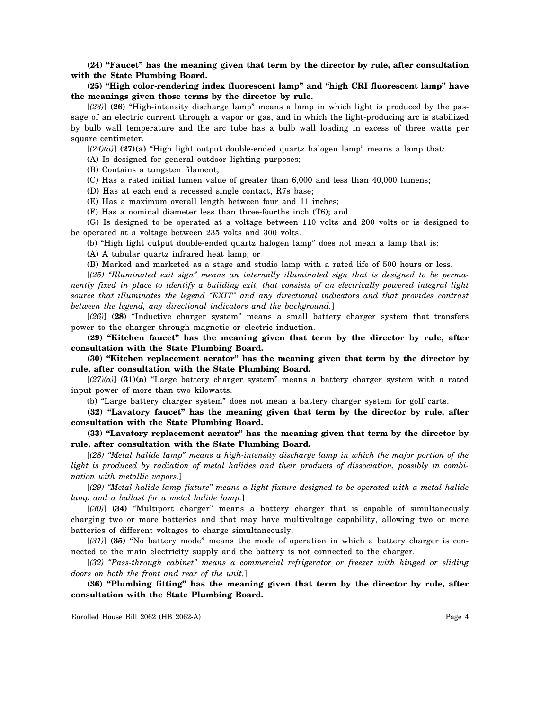**(24) "Faucet" has the meaning given that term by the director by rule, after consultation with the State Plumbing Board.**

**(25) "High color-rendering index fluorescent lamp" and "high CRI fluorescent lamp" have the meanings given those terms by the director by rule.**

[*(23)*] **(26)** "High-intensity discharge lamp" means a lamp in which light is produced by the passage of an electric current through a vapor or gas, and in which the light-producing arc is stabilized by bulb wall temperature and the arc tube has a bulb wall loading in excess of three watts per square centimeter.

 $[(24)(a)]$  (27)(a) "High light output double-ended quartz halogen lamp" means a lamp that:

(A) Is designed for general outdoor lighting purposes;

(B) Contains a tungsten filament;

(C) Has a rated initial lumen value of greater than 6,000 and less than 40,000 lumens;

(D) Has at each end a recessed single contact, R7s base;

(E) Has a maximum overall length between four and 11 inches;

(F) Has a nominal diameter less than three-fourths inch (T6); and

(G) Is designed to be operated at a voltage between 110 volts and 200 volts or is designed to be operated at a voltage between 235 volts and 300 volts.

(b) "High light output double-ended quartz halogen lamp" does not mean a lamp that is:

(A) A tubular quartz infrared heat lamp; or

(B) Marked and marketed as a stage and studio lamp with a rated life of 500 hours or less.

[*(25) "Illuminated exit sign" means an internally illuminated sign that is designed to be permanently fixed in place to identify a building exit, that consists of an electrically powered integral light source that illuminates the legend "EXIT" and any directional indicators and that provides contrast between the legend, any directional indicators and the background.*]

[*(26)*] **(28)** "Inductive charger system" means a small battery charger system that transfers power to the charger through magnetic or electric induction.

**(29) "Kitchen faucet" has the meaning given that term by the director by rule, after consultation with the State Plumbing Board.**

**(30) "Kitchen replacement aerator" has the meaning given that term by the director by rule, after consultation with the State Plumbing Board.**

[*(27)(a)*] **(31)(a)** "Large battery charger system" means a battery charger system with a rated input power of more than two kilowatts.

(b) "Large battery charger system" does not mean a battery charger system for golf carts.

**(32) "Lavatory faucet" has the meaning given that term by the director by rule, after consultation with the State Plumbing Board.**

**(33) "Lavatory replacement aerator" has the meaning given that term by the director by rule, after consultation with the State Plumbing Board.**

[*(28) "Metal halide lamp" means a high-intensity discharge lamp in which the major portion of the light is produced by radiation of metal halides and their products of dissociation, possibly in combination with metallic vapors.*]

[*(29) "Metal halide lamp fixture" means a light fixture designed to be operated with a metal halide lamp and a ballast for a metal halide lamp.*]

[*(30)*] **(34)** "Multiport charger" means a battery charger that is capable of simultaneously charging two or more batteries and that may have multivoltage capability, allowing two or more batteries of different voltages to charge simultaneously.

[*(31)*] **(35)** "No battery mode" means the mode of operation in which a battery charger is connected to the main electricity supply and the battery is not connected to the charger.

[*(32) "Pass-through cabinet" means a commercial refrigerator or freezer with hinged or sliding doors on both the front and rear of the unit.*]

**(36) "Plumbing fitting" has the meaning given that term by the director by rule, after consultation with the State Plumbing Board.**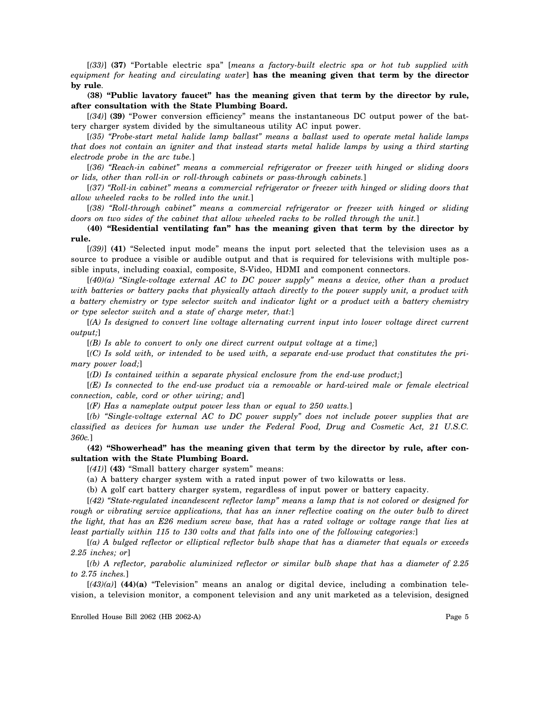[*(33)*] **(37)** "Portable electric spa" [*means a factory-built electric spa or hot tub supplied with equipment for heating and circulating water*] **has the meaning given that term by the director by rule**.

**(38) "Public lavatory faucet" has the meaning given that term by the director by rule, after consultation with the State Plumbing Board.**

[*(34)*] **(39)** "Power conversion efficiency" means the instantaneous DC output power of the battery charger system divided by the simultaneous utility AC input power.

[*(35) "Probe-start metal halide lamp ballast" means a ballast used to operate metal halide lamps that does not contain an igniter and that instead starts metal halide lamps by using a third starting electrode probe in the arc tube.*]

[*(36) "Reach-in cabinet" means a commercial refrigerator or freezer with hinged or sliding doors or lids, other than roll-in or roll-through cabinets or pass-through cabinets.*]

[*(37) "Roll-in cabinet" means a commercial refrigerator or freezer with hinged or sliding doors that allow wheeled racks to be rolled into the unit.*]

[*(38) "Roll-through cabinet" means a commercial refrigerator or freezer with hinged or sliding doors on two sides of the cabinet that allow wheeled racks to be rolled through the unit.*]

**(40) "Residential ventilating fan" has the meaning given that term by the director by rule.**

[*(39)*] **(41)** "Selected input mode" means the input port selected that the television uses as a source to produce a visible or audible output and that is required for televisions with multiple possible inputs, including coaxial, composite, S-Video, HDMI and component connectors.

[*(40)(a) "Single-voltage external AC to DC power supply" means a device, other than a product with batteries or battery packs that physically attach directly to the power supply unit, a product with a battery chemistry or type selector switch and indicator light or a product with a battery chemistry or type selector switch and a state of charge meter, that:*]

[*(A) Is designed to convert line voltage alternating current input into lower voltage direct current output;*]

[*(B) Is able to convert to only one direct current output voltage at a time;*]

[*(C) Is sold with, or intended to be used with, a separate end-use product that constitutes the primary power load;*]

[*(D) Is contained within a separate physical enclosure from the end-use product;*]

[*(E) Is connected to the end-use product via a removable or hard-wired male or female electrical connection, cable, cord or other wiring; and*]

[*(F) Has a nameplate output power less than or equal to 250 watts.*]

[*(b) "Single-voltage external AC to DC power supply" does not include power supplies that are classified as devices for human use under the Federal Food, Drug and Cosmetic Act, 21 U.S.C. 360c.*]

**(42) "Showerhead" has the meaning given that term by the director by rule, after consultation with the State Plumbing Board.**

[*(41)*] **(43)** "Small battery charger system" means:

(a) A battery charger system with a rated input power of two kilowatts or less.

(b) A golf cart battery charger system, regardless of input power or battery capacity.

[*(42) "State-regulated incandescent reflector lamp" means a lamp that is not colored or designed for rough or vibrating service applications, that has an inner reflective coating on the outer bulb to direct the light, that has an E26 medium screw base, that has a rated voltage or voltage range that lies at least partially within 115 to 130 volts and that falls into one of the following categories:*]

[*(a) A bulged reflector or elliptical reflector bulb shape that has a diameter that equals or exceeds 2.25 inches; or*]

[*(b) A reflector, parabolic aluminized reflector or similar bulb shape that has a diameter of 2.25 to 2.75 inches.*]

 $[(43)(a)]$  (44)(a) "Television" means an analog or digital device, including a combination television, a television monitor, a component television and any unit marketed as a television, designed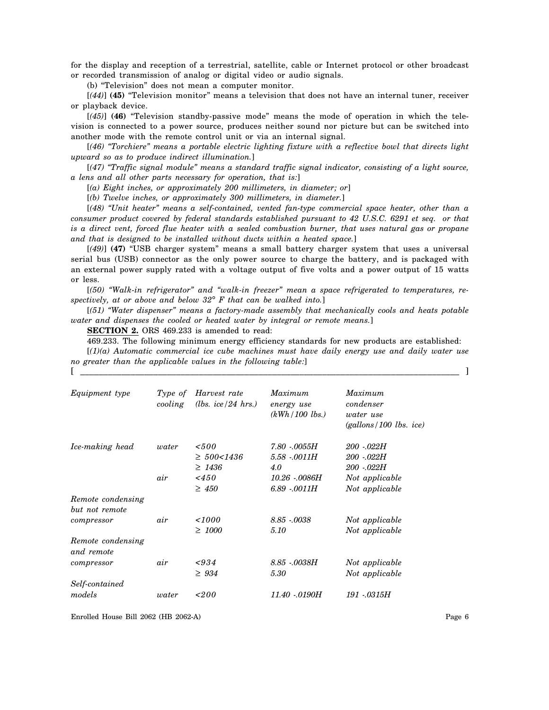for the display and reception of a terrestrial, satellite, cable or Internet protocol or other broadcast or recorded transmission of analog or digital video or audio signals.

(b) "Television" does not mean a computer monitor.

[*(44)*] **(45)** "Television monitor" means a television that does not have an internal tuner, receiver or playback device.

[*(45)*] **(46)** "Television standby-passive mode" means the mode of operation in which the television is connected to a power source, produces neither sound nor picture but can be switched into another mode with the remote control unit or via an internal signal.

[*(46) "Torchiere" means a portable electric lighting fixture with a reflective bowl that directs light upward so as to produce indirect illumination.*]

[*(47) "Traffic signal module" means a standard traffic signal indicator, consisting of a light source, a lens and all other parts necessary for operation, that is:*]

[*(a) Eight inches, or approximately 200 millimeters, in diameter; or*]

[*(b) Twelve inches, or approximately 300 millimeters, in diameter.*]

[*(48) "Unit heater" means a self-contained, vented fan-type commercial space heater, other than a consumer product covered by federal standards established pursuant to 42 U.S.C. 6291 et seq. or that is a direct vent, forced flue heater with a sealed combustion burner, that uses natural gas or propane and that is designed to be installed without ducts within a heated space.*]

[*(49)*] **(47)** "USB charger system" means a small battery charger system that uses a universal serial bus (USB) connector as the only power source to charge the battery, and is packaged with an external power supply rated with a voltage output of five volts and a power output of 15 watts or less.

[*(50) "Walk-in refrigerator" and "walk-in freezer" mean a space refrigerated to temperatures, respectively, at or above and below 32*° *F that can be walked into.*]

[*(51) "Water dispenser" means a factory-made assembly that mechanically cools and heats potable water and dispenses the cooled or heated water by integral or remote means.*]

**SECTION 2.** ORS 469.233 is amended to read:

469.233. The following minimum energy efficiency standards for new products are established: [*(1)(a) Automatic commercial ice cube machines must have daily energy use and daily water use*

[ \_\_\_\_\_\_\_\_\_\_\_\_\_\_\_\_\_\_\_\_\_\_\_\_\_\_\_\_\_\_\_\_\_\_\_\_\_\_\_\_\_\_\_\_\_\_\_\_\_\_\_\_\_\_\_\_\_\_\_\_\_\_\_\_\_\_\_\_\_\_\_\_\_\_\_\_\_\_\_\_\_\_\_ ]

*no greater than the applicable values in the following table:*]

| Equipment type                                    | Type of<br>cooling | Harvest rate<br>( <i>lbs.</i> ice/24 hrs.)                       | Maximum<br>energy use<br>$(kWh/100 \, lbs.)$                                 | Maximum<br>condenser<br><i>water</i> use<br>$(gallons/100$ lbs. ice)             |
|---------------------------------------------------|--------------------|------------------------------------------------------------------|------------------------------------------------------------------------------|----------------------------------------------------------------------------------|
| Ice-making head                                   | water<br>air       | $500$<br>$\geq 500 < 1436$<br>$\geq 1436$<br>~1450<br>$\geq 450$ | $7.80 - 0.0055H$<br>$5.58 - 0011H$<br>4.0<br>10.26 -.0086H<br>$6.89 - 0011H$ | $200 - 022H$<br>$200 - 022H$<br>$200 - 022H$<br>Not applicable<br>Not applicable |
| Remote condensing<br>but not remote<br>compressor | air                | 1000<br>$\geq 1000$                                              | $8.85 - 0.038$<br>5.10                                                       | Not applicable<br>Not applicable                                                 |
| Remote condensing<br>and remote<br>compressor     | air                | ${}_{<}934$<br>$\geq 934$                                        | $8.85 - 0038H$<br>5.30                                                       | Not applicable<br>Not applicable                                                 |
| Self-contained<br>models                          | water              | < 200                                                            | 11.40 - 0190H                                                                | 191 - 0315H                                                                      |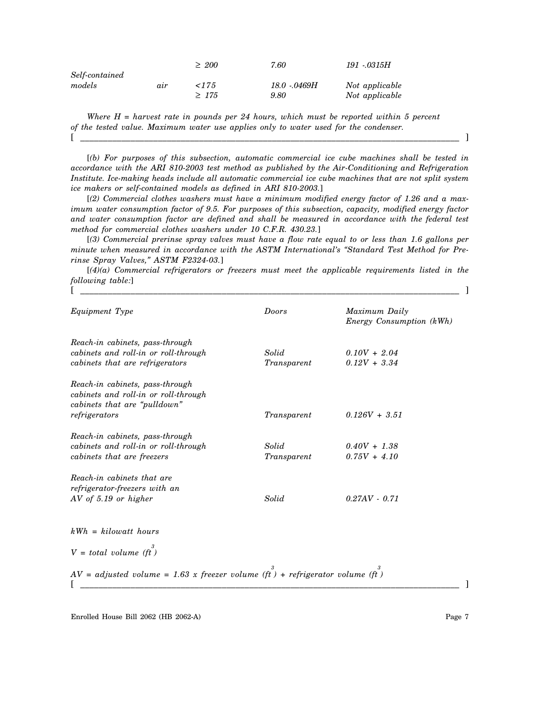|                |     | $\geq 200$ | 7.60         | 191 - 0315H    |
|----------------|-----|------------|--------------|----------------|
| Self-contained |     |            |              |                |
| models         | air | 17.5       | 18.0 - 0469H | Not applicable |
|                |     | $\geq 175$ | 9.80         | Not applicable |

*Where H = harvest rate in pounds per 24 hours, which must be reported within 5 percent of the tested value. Maximum water use applies only to water used for the condenser.* [ \_\_\_\_\_\_\_\_\_\_\_\_\_\_\_\_\_\_\_\_\_\_\_\_\_\_\_\_\_\_\_\_\_\_\_\_\_\_\_\_\_\_\_\_\_\_\_\_\_\_\_\_\_\_\_\_\_\_\_\_\_\_\_\_\_\_\_\_\_\_\_\_\_\_\_\_\_\_\_\_\_\_\_ ]

[*(b) For purposes of this subsection, automatic commercial ice cube machines shall be tested in accordance with the ARI 810-2003 test method as published by the Air-Conditioning and Refrigeration Institute. Ice-making heads include all automatic commercial ice cube machines that are not split system ice makers or self-contained models as defined in ARI 810-2003.*]

[*(2) Commercial clothes washers must have a minimum modified energy factor of 1.26 and a maximum water consumption factor of 9.5. For purposes of this subsection, capacity, modified energy factor and water consumption factor are defined and shall be measured in accordance with the federal test method for commercial clothes washers under 10 C.F.R. 430.23.*]

[*(3) Commercial prerinse spray valves must have a flow rate equal to or less than 1.6 gallons per minute when measured in accordance with the ASTM International's "Standard Test Method for Prerinse Spray Valves," ASTM F2324-03.*]

[*(4)(a) Commercial refrigerators or freezers must meet the applicable requirements listed in the following table:*] [ \_\_\_\_\_\_\_\_\_\_\_\_\_\_\_\_\_\_\_\_\_\_\_\_\_\_\_\_\_\_\_\_\_\_\_\_\_\_\_\_\_\_\_\_\_\_\_\_\_\_\_\_\_\_\_\_\_\_\_\_\_\_\_\_\_\_\_\_\_\_\_\_\_\_\_\_\_\_\_\_\_\_\_ ]

| Equipment Type                                                                                                           | Doors                | Maximum Daily<br>Energy Consumption (kWh) |
|--------------------------------------------------------------------------------------------------------------------------|----------------------|-------------------------------------------|
| Reach-in cabinets, pass-through<br>cabinets and roll-in or roll-through<br>cabinets that are refrigerators               | Solid<br>Transparent | $0.10V + 2.04$<br>$0.12V + 3.34$          |
| Reach-in cabinets, pass-through<br>cabinets and roll-in or roll-through<br>cabinets that are "pulldown"<br>refrigerators | Transparent          | $0.126V + 3.51$                           |
| Reach-in cabinets, pass-through<br>cabinets and roll-in or roll-through<br>cabinets that are freezers                    | Solid<br>Transparent | $0.40V + 1.38$<br>$0.75V + 4.10$          |
| Reach-in cabinets that are<br>refrigerator-freezers with an<br>$AV of 5.19$ or higher                                    | Solid                | $0.27AV - 0.71$                           |
| $kWh = kilowatt hours$                                                                                                   |                      |                                           |
| $V = total volume (ft)$                                                                                                  |                      |                                           |
| $AV = adjusted volume = 1.63 x freezer volume (ft) + refrigerator volume (ft)$                                           |                      |                                           |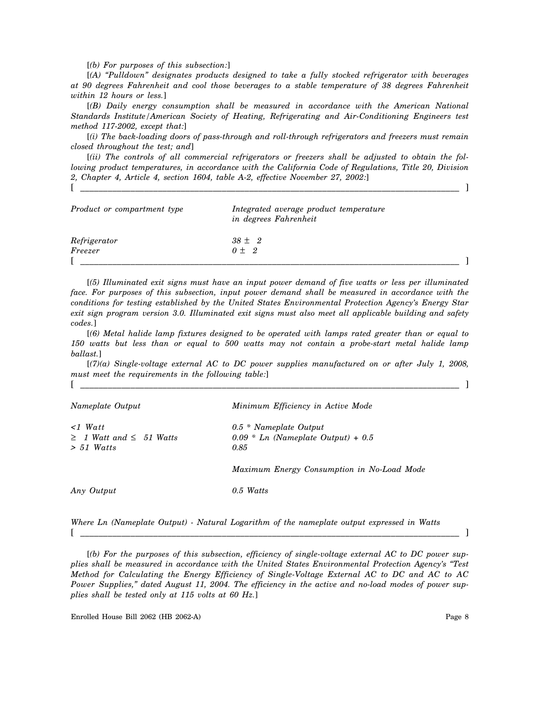[*(b) For purposes of this subsection:*]

[*(A) "Pulldown" designates products designed to take a fully stocked refrigerator with beverages at 90 degrees Fahrenheit and cool those beverages to a stable temperature of 38 degrees Fahrenheit within 12 hours or less.*]

[*(B) Daily energy consumption shall be measured in accordance with the American National Standards Institute/American Society of Heating, Refrigerating and Air-Conditioning Engineers test method 117-2002, except that:*]

[*(i) The back-loading doors of pass-through and roll-through refrigerators and freezers must remain closed throughout the test; and*]

[*(ii) The controls of all commercial refrigerators or freezers shall be adjusted to obtain the following product temperatures, in accordance with the California Code of Regulations, Title 20, Division 2, Chapter 4, Article 4, section 1604, table A-2, effective November 27, 2002:*]

[ \_\_\_\_\_\_\_\_\_\_\_\_\_\_\_\_\_\_\_\_\_\_\_\_\_\_\_\_\_\_\_\_\_\_\_\_\_\_\_\_\_\_\_\_\_\_\_\_\_\_\_\_\_\_\_\_\_\_\_\_\_\_\_\_\_\_\_\_\_\_\_\_\_\_\_\_\_\_\_\_\_\_\_ ]

| Product or compartment type | Integrated average product temperature<br>in degrees Fahrenheit |  |
|-----------------------------|-----------------------------------------------------------------|--|
| Refrigerator                | $38 \pm 2$                                                      |  |
| Freezer                     | $0 + 2$                                                         |  |
|                             |                                                                 |  |

[*(5) Illuminated exit signs must have an input power demand of five watts or less per illuminated face. For purposes of this subsection, input power demand shall be measured in accordance with the conditions for testing established by the United States Environmental Protection Agency's Energy Star exit sign program version 3.0. Illuminated exit signs must also meet all applicable building and safety codes.*]

[*(6) Metal halide lamp fixtures designed to be operated with lamps rated greater than or equal to 150 watts but less than or equal to 500 watts may not contain a probe-start metal halide lamp ballast.*]

[*(7)(a) Single-voltage external AC to DC power supplies manufactured on or after July 1, 2008, must meet the requirements in the following table:*] [ \_\_\_\_\_\_\_\_\_\_\_\_\_\_\_\_\_\_\_\_\_\_\_\_\_\_\_\_\_\_\_\_\_\_\_\_\_\_\_\_\_\_\_\_\_\_\_\_\_\_\_\_\_\_\_\_\_\_\_\_\_\_\_\_\_\_\_\_\_\_\_\_\_\_\_\_\_\_\_\_\_\_\_ ]

| Nameplate Output                                                      | Minimum Efficiency in Active Mode                                                 |
|-----------------------------------------------------------------------|-----------------------------------------------------------------------------------|
| $\langle$ 1 Watt<br>$\geq$ 1 Watt and $\leq$ 51 Watts<br>$> 51$ Watts | $0.5 * \textit{Nameplate Output}$<br>$0.09 * Ln$ (Nameplate Output) + 0.5<br>0.85 |
|                                                                       | Maximum Energy Consumption in No-Load Mode                                        |
| Any Output                                                            | $0.5$ Watts                                                                       |

*Where Ln (Nameplate Output) - Natural Logarithm of the nameplate output expressed in Watts* [ \_\_\_\_\_\_\_\_\_\_\_\_\_\_\_\_\_\_\_\_\_\_\_\_\_\_\_\_\_\_\_\_\_\_\_\_\_\_\_\_\_\_\_\_\_\_\_\_\_\_\_\_\_\_\_\_\_\_\_\_\_\_\_\_\_\_\_\_\_\_\_\_\_\_\_\_\_\_\_\_\_\_\_ ]

[*(b) For the purposes of this subsection, efficiency of single-voltage external AC to DC power supplies shall be measured in accordance with the United States Environmental Protection Agency's "Test Method for Calculating the Energy Efficiency of Single-Voltage External AC to DC and AC to AC Power Supplies," dated August 11, 2004. The efficiency in the active and no-load modes of power supplies shall be tested only at 115 volts at 60 Hz.*]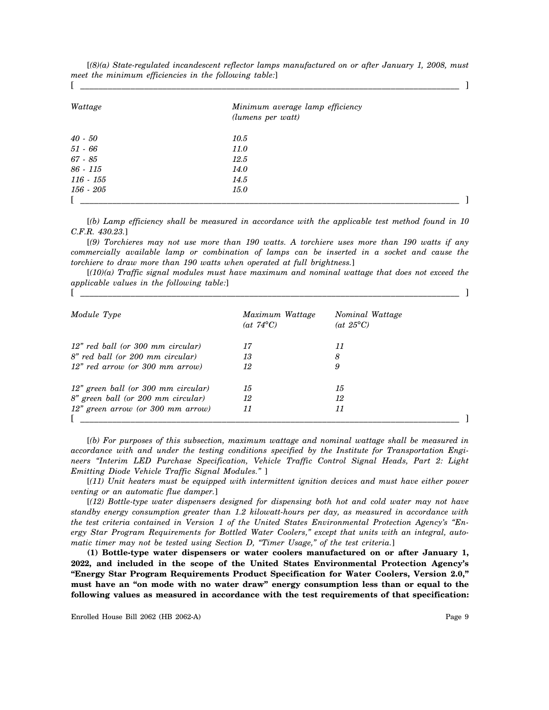| Wattage     | Minimum average lamp efficiency<br>(lumens per watt) |  |
|-------------|------------------------------------------------------|--|
| $40$ - $50$ | 10.5                                                 |  |
| $51 - 66$   | <i>11.0</i>                                          |  |
| 67 - 85     | 12.5                                                 |  |
| 86 - 115    | <i>14.0</i>                                          |  |
| $116 - 155$ | 14.5                                                 |  |
| 156 - 205   | <i>15.0</i>                                          |  |
|             |                                                      |  |

[*(8)(a) State-regulated incandescent reflector lamps manufactured on or after January 1, 2008, must meet the minimum efficiencies in the following table:*]

[*(b) Lamp efficiency shall be measured in accordance with the applicable test method found in 10 C.F.R. 430.23.*]

[*(9) Torchieres may not use more than 190 watts. A torchiere uses more than 190 watts if any commercially available lamp or combination of lamps can be inserted in a socket and cause the torchiere to draw more than 190 watts when operated at full brightness.*]

[*(10)(a) Traffic signal modules must have maximum and nominal wattage that does not exceed the applicable values in the following table:*] [ \_\_\_\_\_\_\_\_\_\_\_\_\_\_\_\_\_\_\_\_\_\_\_\_\_\_\_\_\_\_\_\_\_\_\_\_\_\_\_\_\_\_\_\_\_\_\_\_\_\_\_\_\_\_\_\_\_\_\_\_\_\_\_\_\_\_\_\_\_\_\_\_\_\_\_\_\_\_\_\_\_\_\_ ]

| Module Type                         | Maximum Wattage<br>$(at 74^{\circ}C)$ | Nominal Wattage<br>(at $25^{\circ}$ C) |
|-------------------------------------|---------------------------------------|----------------------------------------|
| 12" red ball (or 300 mm circular)   | 17                                    | 11                                     |
| 8" red ball (or 200 mm circular)    | 13                                    | 8                                      |
| 12" red arrow (or 300 mm arrow)     | 12                                    | 9                                      |
| 12" green ball (or 300 mm circular) | 15                                    | 15                                     |
| 8" green ball (or 200 mm circular)  | 12                                    | 12                                     |
| $12"$ green arrow (or 300 mm arrow) | 11                                    | 11                                     |

[*(b) For purposes of this subsection, maximum wattage and nominal wattage shall be measured in accordance with and under the testing conditions specified by the Institute for Transportation Engineers "Interim LED Purchase Specification, Vehicle Traffic Control Signal Heads, Part 2: Light Emitting Diode Vehicle Traffic Signal Modules."* ]

[*(11) Unit heaters must be equipped with intermittent ignition devices and must have either power venting or an automatic flue damper.*]

[*(12) Bottle-type water dispensers designed for dispensing both hot and cold water may not have standby energy consumption greater than 1.2 kilowatt-hours per day, as measured in accordance with the test criteria contained in Version 1 of the United States Environmental Protection Agency's "Energy Star Program Requirements for Bottled Water Coolers," except that units with an integral, automatic timer may not be tested using Section D, "Timer Usage," of the test criteria.*]

**(1) Bottle-type water dispensers or water coolers manufactured on or after January 1, 2022, and included in the scope of the United States Environmental Protection Agency's "Energy Star Program Requirements Product Specification for Water Coolers, Version 2.0," must have an "on mode with no water draw" energy consumption less than or equal to the following values as measured in accordance with the test requirements of that specification:**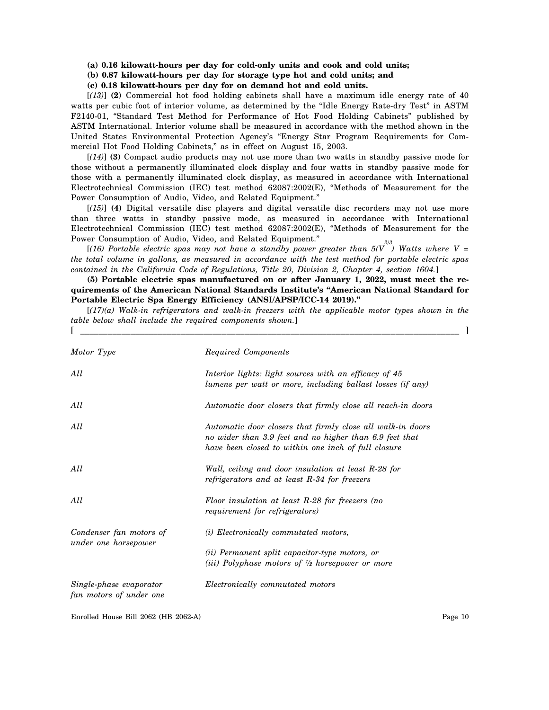#### **(a) 0.16 kilowatt-hours per day for cold-only units and cook and cold units;**

## **(b) 0.87 kilowatt-hours per day for storage type hot and cold units; and**

**(c) 0.18 kilowatt-hours per day for on demand hot and cold units.**

[*(13)*] **(2)** Commercial hot food holding cabinets shall have a maximum idle energy rate of 40 watts per cubic foot of interior volume, as determined by the "Idle Energy Rate-dry Test" in ASTM F2140-01, "Standard Test Method for Performance of Hot Food Holding Cabinets" published by ASTM International. Interior volume shall be measured in accordance with the method shown in the United States Environmental Protection Agency's "Energy Star Program Requirements for Commercial Hot Food Holding Cabinets," as in effect on August 15, 2003.

[*(14)*] **(3)** Compact audio products may not use more than two watts in standby passive mode for those without a permanently illuminated clock display and four watts in standby passive mode for those with a permanently illuminated clock display, as measured in accordance with International Electrotechnical Commission (IEC) test method 62087:2002(E), "Methods of Measurement for the Power Consumption of Audio, Video, and Related Equipment."

[*(15)*] **(4)** Digital versatile disc players and digital versatile disc recorders may not use more than three watts in standby passive mode, as measured in accordance with International Electrotechnical Commission (IEC) test method 62087:2002(E), "Methods of Measurement for the Power Consumption of Audio, Video, and Related Equipment."

[*(16) Portable electric spas may not have a standby power greater than 5(V 2/3 ) Watts where V = the total volume in gallons, as measured in accordance with the test method for portable electric spas contained in the California Code of Regulations, Title 20, Division 2, Chapter 4, section 1604.*]

**(5) Portable electric spas manufactured on or after January 1, 2022, must meet the requirements of the American National Standards Institute's "American National Standard for Portable Electric Spa Energy Efficiency (ANSI/APSP/ICC-14 2019)."**

[*(17)(a) Walk-in refrigerators and walk-in freezers with the applicable motor types shown in the table below shall include the required components shown.*] [ \_\_\_\_\_\_\_\_\_\_\_\_\_\_\_\_\_\_\_\_\_\_\_\_\_\_\_\_\_\_\_\_\_\_\_\_\_\_\_\_\_\_\_\_\_\_\_\_\_\_\_\_\_\_\_\_\_\_\_\_\_\_\_\_\_\_\_\_\_\_\_\_\_\_\_\_\_\_\_\_\_\_\_ ]

| Motor Type                                         | Required Components                                                                                                                                                          |
|----------------------------------------------------|------------------------------------------------------------------------------------------------------------------------------------------------------------------------------|
| All                                                | Interior lights: light sources with an efficacy of 45<br>lumens per watt or more, including ballast losses (if any)                                                          |
| All                                                | Automatic door closers that firmly close all reach-in doors                                                                                                                  |
| All                                                | Automatic door closers that firmly close all walk-in doors<br>no wider than 3.9 feet and no higher than 6.9 feet that<br>have been closed to within one inch of full closure |
| All                                                | Wall, ceiling and door insulation at least R-28 for<br>refrigerators and at least R-34 for freezers                                                                          |
| All                                                | Floor insulation at least R-28 for freezers (no<br>requirement for refrigerators)                                                                                            |
| Condenser fan motors of                            | (i) Electronically commutated motors,                                                                                                                                        |
| under one horsepower                               | (ii) Permanent split capacitor-type motors, or<br>(iii) Polyphase motors of $\frac{1}{2}$ horsepower or more                                                                 |
| Single-phase evaporator<br>fan motors of under one | Electronically commutated motors                                                                                                                                             |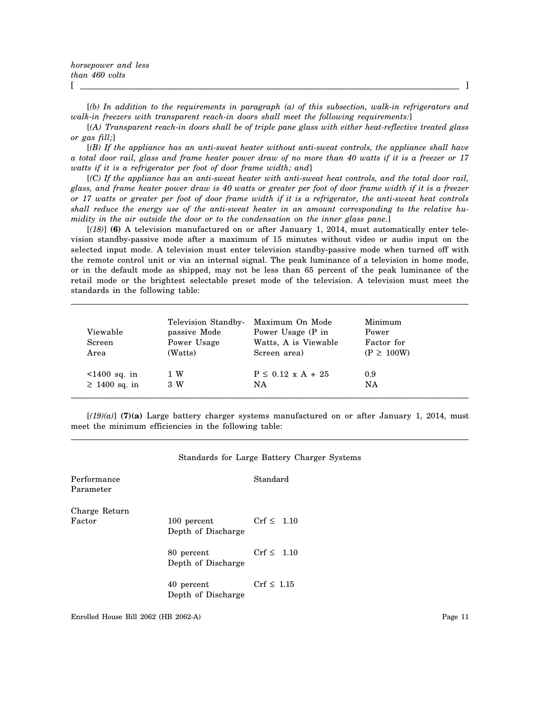[*(b) In addition to the requirements in paragraph (a) of this subsection, walk-in refrigerators and walk-in freezers with transparent reach-in doors shall meet the following requirements:*]

[*(A) Transparent reach-in doors shall be of triple pane glass with either heat-reflective treated glass or gas fill;*]

[*(B) If the appliance has an anti-sweat heater without anti-sweat controls, the appliance shall have a total door rail, glass and frame heater power draw of no more than 40 watts if it is a freezer or 17 watts if it is a refrigerator per foot of door frame width; and*]

[*(C) If the appliance has an anti-sweat heater with anti-sweat heat controls, and the total door rail, glass, and frame heater power draw is 40 watts or greater per foot of door frame width if it is a freezer or 17 watts or greater per foot of door frame width if it is a refrigerator, the anti-sweat heat controls shall reduce the energy use of the anti-sweat heater in an amount corresponding to the relative humidity in the air outside the door or to the condensation on the inner glass pane.*]

[*(18)*] **(6)** A television manufactured on or after January 1, 2014, must automatically enter television standby-passive mode after a maximum of 15 minutes without video or audio input on the selected input mode. A television must enter television standby-passive mode when turned off with the remote control unit or via an internal signal. The peak luminance of a television in home mode, or in the default mode as shipped, may not be less than 65 percent of the peak luminance of the retail mode or the brightest selectable preset mode of the television. A television must meet the standards in the following table:

\_\_\_\_\_\_\_\_\_\_\_\_\_\_\_\_\_\_\_\_\_\_\_\_\_\_\_\_\_\_\_\_\_\_\_\_\_\_\_\_\_\_\_\_\_\_\_\_\_\_\_\_\_\_\_\_\_\_\_\_\_\_\_\_\_\_\_\_\_\_\_\_\_\_\_\_\_\_\_\_\_\_\_\_\_\_\_

| Viewable<br>Screen<br>Area | Television Standby-<br>passive Mode<br>Power Usage<br>(Watts) | Maximum On Mode<br>Power Usage (P in<br>Watts, A is Viewable<br>Screen area) | Minimum<br>Power<br>Factor for<br>$(P \geq 100W)$ |
|----------------------------|---------------------------------------------------------------|------------------------------------------------------------------------------|---------------------------------------------------|
| $1400$ sq. in              | 1 W                                                           | $P \le 0.12 \times A + 25$                                                   | 0.9                                               |
| $\geq$ 1400 sq. in         | 3 W                                                           | NA                                                                           | NA                                                |

 $[(19)(a)]$  (7)(a) Large battery charger systems manufactured on or after January 1, 2014, must meet the minimum efficiencies in the following table: \_\_\_\_\_\_\_\_\_\_\_\_\_\_\_\_\_\_\_\_\_\_\_\_\_\_\_\_\_\_\_\_\_\_\_\_\_\_\_\_\_\_\_\_\_\_\_\_\_\_\_\_\_\_\_\_\_\_\_\_\_\_\_\_\_\_\_\_\_\_\_\_\_\_\_\_\_\_\_\_\_\_\_\_\_\_\_

| Standards for Large Battery Charger Systems |  |
|---------------------------------------------|--|
| Standard                                    |  |
|                                             |  |

Charge Return Factor  $100$  percent  $Crf \leq 1.10$ 

Performance Parameter

Depth of Discharge

80 percent  $Crf \leq 1.10$ Depth of Discharge

40 percent  $Crf \leq 1.15$ Depth of Discharge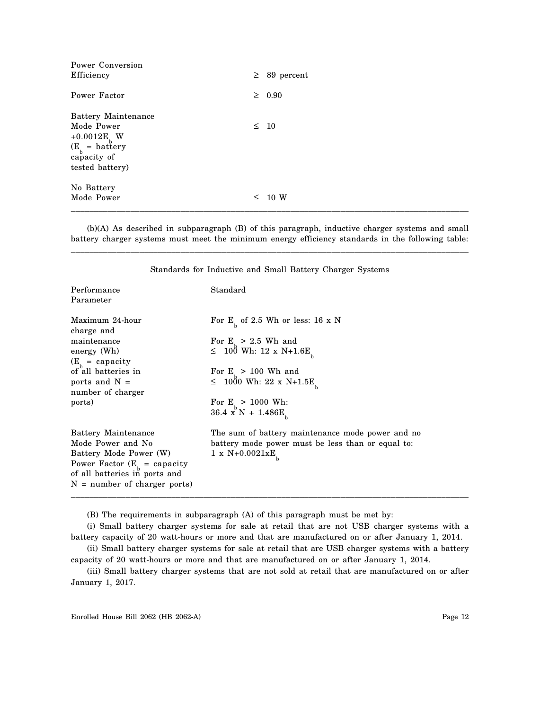| Power Conversion<br>Efficiency                                                                                            |        | $\geq$ 89 percent |
|---------------------------------------------------------------------------------------------------------------------------|--------|-------------------|
| Power Factor                                                                                                              |        | $\geq 0.90$       |
| Battery Maintenance<br>Mode Power<br>+0.0012E <sub>b</sub> W<br>$(E_b = \text{battery}$<br>capacity of<br>tested battery) |        | $\leq 10$         |
| No Battery<br>Mode Power                                                                                                  | $\leq$ | 10 W              |

(b)(A) As described in subparagraph (B) of this paragraph, inductive charger systems and small battery charger systems must meet the minimum energy efficiency standards in the following table: \_\_\_\_\_\_\_\_\_\_\_\_\_\_\_\_\_\_\_\_\_\_\_\_\_\_\_\_\_\_\_\_\_\_\_\_\_\_\_\_\_\_\_\_\_\_\_\_\_\_\_\_\_\_\_\_\_\_\_\_\_\_\_\_\_\_\_\_\_\_\_\_\_\_\_\_\_\_\_\_\_\_\_\_\_\_\_

| Performance<br>Parameter                                                                                                                                                                 | Standard                                                                                                                                                                                                                   |
|------------------------------------------------------------------------------------------------------------------------------------------------------------------------------------------|----------------------------------------------------------------------------------------------------------------------------------------------------------------------------------------------------------------------------|
| Maximum 24-hour<br>charge and<br>maintenance<br>energy (Wh)<br>$(E_{\text{h}} = \text{capacity})$<br>of all batteries in<br>ports and $N =$<br>number of charger<br>ports)               | For $E_{h}$ of 2.5 Wh or less: 16 x N<br>For $E_{1} > 2.5$ Wh and<br>$\leq 10^8$ Wh: 12 x N+1.6E<br>For $E_{1} > 100$ Wh and<br>$\leq 1000$ Wh: 22 x N+1.5E<br>For $E_{h} > 1000$ Wh:<br>$36.4~{\rm x}^{\rm b}$ N + 1.486E |
| Battery Maintenance<br>Mode Power and No<br>Battery Mode Power (W)<br>Power Factor $(E_{\text{R}} = \text{capacity})$<br>of all batteries in ports and<br>$N =$ number of charger ports) | The sum of battery maintenance mode power and no<br>battery mode power must be less than or equal to:<br>$1 \times N+0.0021xE$                                                                                             |

Standards for Inductive and Small Battery Charger Systems

(B) The requirements in subparagraph (A) of this paragraph must be met by:

(i) Small battery charger systems for sale at retail that are not USB charger systems with a battery capacity of 20 watt-hours or more and that are manufactured on or after January 1, 2014.

(ii) Small battery charger systems for sale at retail that are USB charger systems with a battery capacity of 20 watt-hours or more and that are manufactured on or after January 1, 2014.

(iii) Small battery charger systems that are not sold at retail that are manufactured on or after January 1, 2017.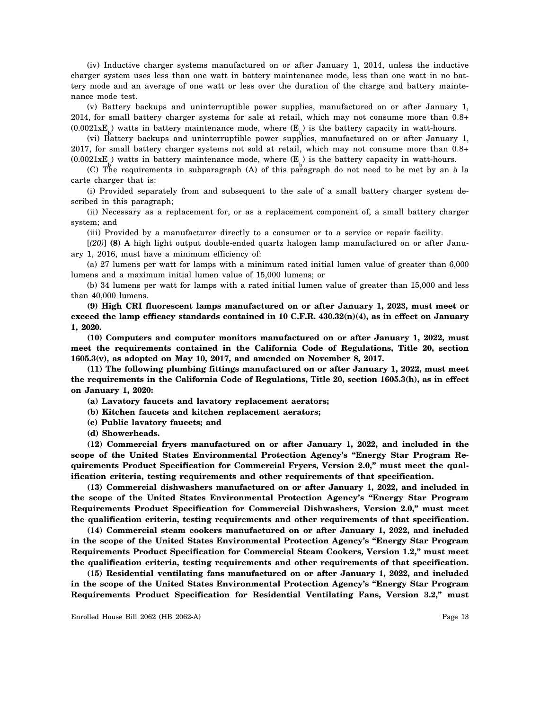(iv) Inductive charger systems manufactured on or after January 1, 2014, unless the inductive charger system uses less than one watt in battery maintenance mode, less than one watt in no battery mode and an average of one watt or less over the duration of the charge and battery maintenance mode test.

(v) Battery backups and uninterruptible power supplies, manufactured on or after January 1, 2014, for small battery charger systems for sale at retail, which may not consume more than 0.8+  $(0.0021 \text{xE})$  watts in battery maintenance mode, where  $(E)$  is the battery capacity in watt-hours.

(vi) Battery backups and uninterruptible power supplies, manufactured on or after January 1, 2017, for small battery charger systems not sold at retail, which may not consume more than 0.8+  $(0.0021 \times E)$  watts in battery maintenance mode, where  $(E)$  is the battery capacity in watt-hours.

(C) The requirements in subparagraph (A) of this paragraph do not need to be met by an à la carte charger that is:

(i) Provided separately from and subsequent to the sale of a small battery charger system described in this paragraph;

(ii) Necessary as a replacement for, or as a replacement component of, a small battery charger system; and

(iii) Provided by a manufacturer directly to a consumer or to a service or repair facility.

[*(20)*] **(8)** A high light output double-ended quartz halogen lamp manufactured on or after January 1, 2016, must have a minimum efficiency of:

(a) 27 lumens per watt for lamps with a minimum rated initial lumen value of greater than 6,000 lumens and a maximum initial lumen value of 15,000 lumens; or

(b) 34 lumens per watt for lamps with a rated initial lumen value of greater than 15,000 and less than 40,000 lumens.

**(9) High CRI fluorescent lamps manufactured on or after January 1, 2023, must meet or exceed the lamp efficacy standards contained in 10 C.F.R. 430.32(n)(4), as in effect on January 1, 2020.**

**(10) Computers and computer monitors manufactured on or after January 1, 2022, must meet the requirements contained in the California Code of Regulations, Title 20, section 1605.3(v), as adopted on May 10, 2017, and amended on November 8, 2017.**

**(11) The following plumbing fittings manufactured on or after January 1, 2022, must meet the requirements in the California Code of Regulations, Title 20, section 1605.3(h), as in effect on January 1, 2020:**

**(a) Lavatory faucets and lavatory replacement aerators;**

**(b) Kitchen faucets and kitchen replacement aerators;**

**(c) Public lavatory faucets; and**

**(d) Showerheads.**

**(12) Commercial fryers manufactured on or after January 1, 2022, and included in the scope of the United States Environmental Protection Agency's "Energy Star Program Requirements Product Specification for Commercial Fryers, Version 2.0," must meet the qualification criteria, testing requirements and other requirements of that specification.**

**(13) Commercial dishwashers manufactured on or after January 1, 2022, and included in the scope of the United States Environmental Protection Agency's "Energy Star Program Requirements Product Specification for Commercial Dishwashers, Version 2.0," must meet the qualification criteria, testing requirements and other requirements of that specification.**

**(14) Commercial steam cookers manufactured on or after January 1, 2022, and included in the scope of the United States Environmental Protection Agency's "Energy Star Program Requirements Product Specification for Commercial Steam Cookers, Version 1.2," must meet the qualification criteria, testing requirements and other requirements of that specification.**

**(15) Residential ventilating fans manufactured on or after January 1, 2022, and included in the scope of the United States Environmental Protection Agency's "Energy Star Program Requirements Product Specification for Residential Ventilating Fans, Version 3.2," must**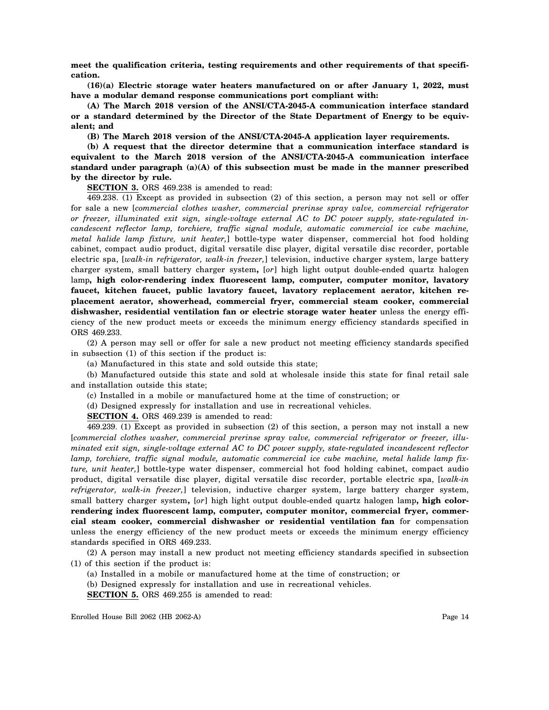**meet the qualification criteria, testing requirements and other requirements of that specification.**

**(16)(a) Electric storage water heaters manufactured on or after January 1, 2022, must have a modular demand response communications port compliant with:**

**(A) The March 2018 version of the ANSI/CTA-2045-A communication interface standard or a standard determined by the Director of the State Department of Energy to be equivalent; and**

**(B) The March 2018 version of the ANSI/CTA-2045-A application layer requirements.**

**(b) A request that the director determine that a communication interface standard is equivalent to the March 2018 version of the ANSI/CTA-2045-A communication interface standard under paragraph (a)(A) of this subsection must be made in the manner prescribed by the director by rule.**

**SECTION 3.** ORS 469.238 is amended to read:

469.238. (1) Except as provided in subsection (2) of this section, a person may not sell or offer for sale a new [*commercial clothes washer, commercial prerinse spray valve, commercial refrigerator or freezer, illuminated exit sign, single-voltage external AC to DC power supply, state-regulated incandescent reflector lamp, torchiere, traffic signal module, automatic commercial ice cube machine, metal halide lamp fixture, unit heater,*] bottle-type water dispenser, commercial hot food holding cabinet, compact audio product, digital versatile disc player, digital versatile disc recorder, portable electric spa, [*walk-in refrigerator, walk-in freezer,*] television, inductive charger system, large battery charger system, small battery charger system**,** [*or*] high light output double-ended quartz halogen lamp**, high color-rendering index fluorescent lamp, computer, computer monitor, lavatory faucet, kitchen faucet, public lavatory faucet, lavatory replacement aerator, kitchen replacement aerator, showerhead, commercial fryer, commercial steam cooker, commercial dishwasher, residential ventilation fan or electric storage water heater** unless the energy efficiency of the new product meets or exceeds the minimum energy efficiency standards specified in ORS 469.233.

(2) A person may sell or offer for sale a new product not meeting efficiency standards specified in subsection (1) of this section if the product is:

(a) Manufactured in this state and sold outside this state;

(b) Manufactured outside this state and sold at wholesale inside this state for final retail sale and installation outside this state;

(c) Installed in a mobile or manufactured home at the time of construction; or

(d) Designed expressly for installation and use in recreational vehicles.

**SECTION 4.** ORS 469.239 is amended to read:

469.239. (1) Except as provided in subsection (2) of this section, a person may not install a new [*commercial clothes washer, commercial prerinse spray valve, commercial refrigerator or freezer, illuminated exit sign, single-voltage external AC to DC power supply, state-regulated incandescent reflector lamp, torchiere, traffic signal module, automatic commercial ice cube machine, metal halide lamp fixture, unit heater,*] bottle-type water dispenser, commercial hot food holding cabinet, compact audio product, digital versatile disc player, digital versatile disc recorder, portable electric spa, [*walk-in refrigerator, walk-in freezer,*] television, inductive charger system, large battery charger system, small battery charger system**,** [*or*] high light output double-ended quartz halogen lamp**, high color**rendering index fluorescent lamp, computer, computer monitor, commercial fryer, commer**cial steam cooker, commercial dishwasher or residential ventilation fan** for compensation unless the energy efficiency of the new product meets or exceeds the minimum energy efficiency standards specified in ORS 469.233.

(2) A person may install a new product not meeting efficiency standards specified in subsection (1) of this section if the product is:

(a) Installed in a mobile or manufactured home at the time of construction; or

(b) Designed expressly for installation and use in recreational vehicles.

**SECTION 5.** ORS 469.255 is amended to read: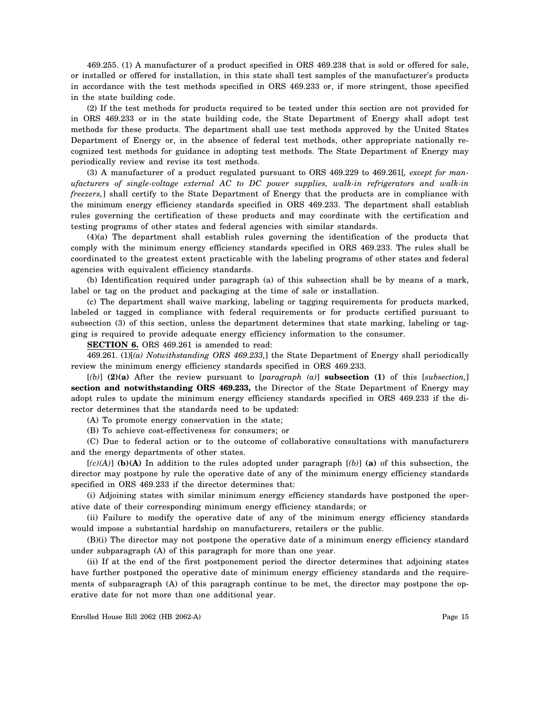469.255. (1) A manufacturer of a product specified in ORS 469.238 that is sold or offered for sale, or installed or offered for installation, in this state shall test samples of the manufacturer's products in accordance with the test methods specified in ORS 469.233 or, if more stringent, those specified in the state building code.

(2) If the test methods for products required to be tested under this section are not provided for in ORS 469.233 or in the state building code, the State Department of Energy shall adopt test methods for these products. The department shall use test methods approved by the United States Department of Energy or, in the absence of federal test methods, other appropriate nationally recognized test methods for guidance in adopting test methods. The State Department of Energy may periodically review and revise its test methods.

(3) A manufacturer of a product regulated pursuant to ORS 469.229 to 469.261[*, except for manufacturers of single-voltage external AC to DC power supplies, walk-in refrigerators and walk-in freezers,*] shall certify to the State Department of Energy that the products are in compliance with the minimum energy efficiency standards specified in ORS 469.233. The department shall establish rules governing the certification of these products and may coordinate with the certification and testing programs of other states and federal agencies with similar standards.

(4)(a) The department shall establish rules governing the identification of the products that comply with the minimum energy efficiency standards specified in ORS 469.233. The rules shall be coordinated to the greatest extent practicable with the labeling programs of other states and federal agencies with equivalent efficiency standards.

(b) Identification required under paragraph (a) of this subsection shall be by means of a mark, label or tag on the product and packaging at the time of sale or installation.

(c) The department shall waive marking, labeling or tagging requirements for products marked, labeled or tagged in compliance with federal requirements or for products certified pursuant to subsection (3) of this section, unless the department determines that state marking, labeling or tagging is required to provide adequate energy efficiency information to the consumer.

**SECTION 6.** ORS 469.261 is amended to read:

469.261. (1)[*(a) Notwithstanding ORS 469.233,*] the State Department of Energy shall periodically review the minimum energy efficiency standards specified in ORS 469.233.

[*(b)*] **(2)(a)** After the review pursuant to [*paragraph (a)*] **subsection (1)** of this [*subsection,*] **section and notwithstanding ORS 469.233,** the Director of the State Department of Energy may adopt rules to update the minimum energy efficiency standards specified in ORS 469.233 if the director determines that the standards need to be updated:

(A) To promote energy conservation in the state;

(B) To achieve cost-effectiveness for consumers; or

(C) Due to federal action or to the outcome of collaborative consultations with manufacturers and the energy departments of other states.

[*(c)(A)*] **(b)(A)** In addition to the rules adopted under paragraph [*(b)*] **(a)** of this subsection, the director may postpone by rule the operative date of any of the minimum energy efficiency standards specified in ORS 469.233 if the director determines that:

(i) Adjoining states with similar minimum energy efficiency standards have postponed the operative date of their corresponding minimum energy efficiency standards; or

(ii) Failure to modify the operative date of any of the minimum energy efficiency standards would impose a substantial hardship on manufacturers, retailers or the public.

(B)(i) The director may not postpone the operative date of a minimum energy efficiency standard under subparagraph (A) of this paragraph for more than one year.

(ii) If at the end of the first postponement period the director determines that adjoining states have further postponed the operative date of minimum energy efficiency standards and the requirements of subparagraph (A) of this paragraph continue to be met, the director may postpone the operative date for not more than one additional year.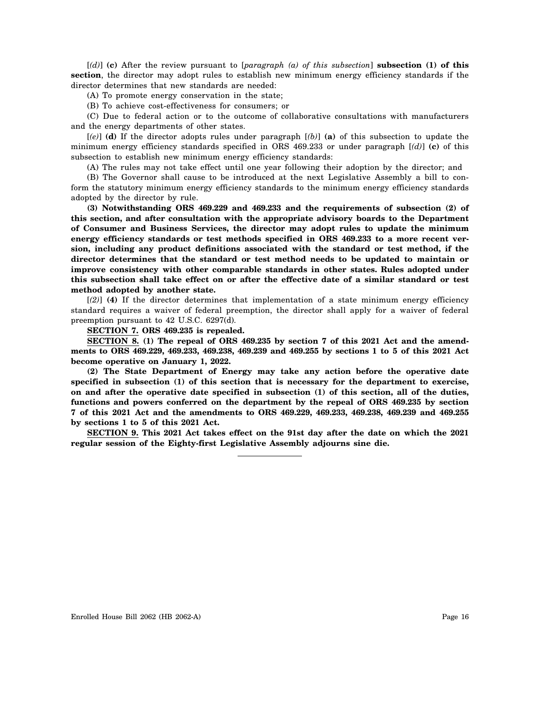[*(d)*] **(c)** After the review pursuant to [*paragraph (a) of this subsection*] **subsection (1) of this section**, the director may adopt rules to establish new minimum energy efficiency standards if the director determines that new standards are needed:

(A) To promote energy conservation in the state;

(B) To achieve cost-effectiveness for consumers; or

(C) Due to federal action or to the outcome of collaborative consultations with manufacturers and the energy departments of other states.

[*(e)*] **(d)** If the director adopts rules under paragraph [*(b)*] **(a)** of this subsection to update the minimum energy efficiency standards specified in ORS 469.233 or under paragraph  $\left[\frac{d}{dx}\right]$  (c) of this subsection to establish new minimum energy efficiency standards:

(A) The rules may not take effect until one year following their adoption by the director; and

(B) The Governor shall cause to be introduced at the next Legislative Assembly a bill to conform the statutory minimum energy efficiency standards to the minimum energy efficiency standards adopted by the director by rule.

**(3) Notwithstanding ORS 469.229 and 469.233 and the requirements of subsection (2) of this section, and after consultation with the appropriate advisory boards to the Department of Consumer and Business Services, the director may adopt rules to update the minimum energy efficiency standards or test methods specified in ORS 469.233 to a more recent version, including any product definitions associated with the standard or test method, if the director determines that the standard or test method needs to be updated to maintain or improve consistency with other comparable standards in other states. Rules adopted under this subsection shall take effect on or after the effective date of a similar standard or test method adopted by another state.**

[*(2)*] **(4)** If the director determines that implementation of a state minimum energy efficiency standard requires a waiver of federal preemption, the director shall apply for a waiver of federal preemption pursuant to 42 U.S.C. 6297(d).

**SECTION 7. ORS 469.235 is repealed.**

**SECTION 8. (1) The repeal of ORS 469.235 by section 7 of this 2021 Act and the amendments to ORS 469.229, 469.233, 469.238, 469.239 and 469.255 by sections 1 to 5 of this 2021 Act become operative on January 1, 2022.**

**(2) The State Department of Energy may take any action before the operative date specified in subsection (1) of this section that is necessary for the department to exercise, on and after the operative date specified in subsection (1) of this section, all of the duties, functions and powers conferred on the department by the repeal of ORS 469.235 by section 7 of this 2021 Act and the amendments to ORS 469.229, 469.233, 469.238, 469.239 and 469.255 by sections 1 to 5 of this 2021 Act.**

**SECTION 9. This 2021 Act takes effect on the 91st day after the date on which the 2021 regular session of the Eighty-first Legislative Assembly adjourns sine die.**